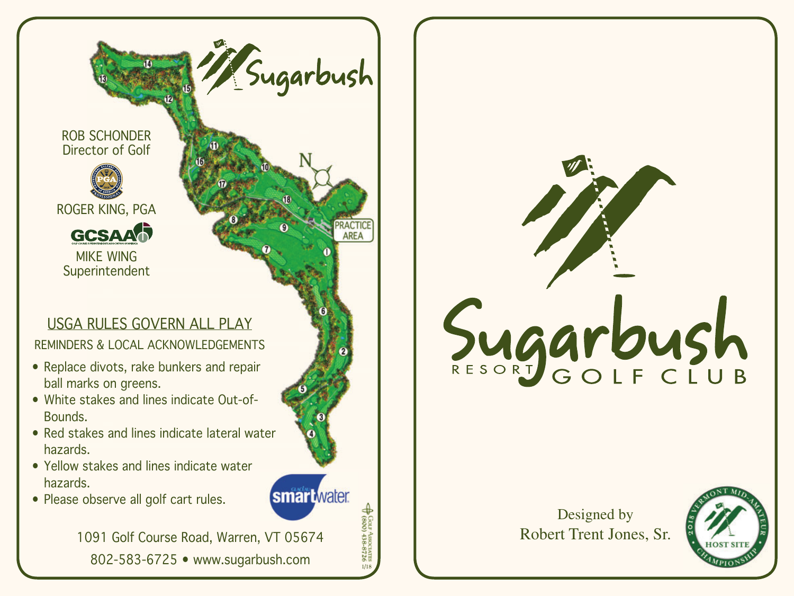ROB SCHONDER Director of Golf



ROGER KING, PGA



MIKE WING Superintendent

## USGA RULES GOVERN ALL PLAY

REMINDERS & LOCAL ACKNOWLEDGEMENTS

- Replace divots, rake bunkers and repair ball marks on greens.
- White stakes and lines indicate Out-of- Bounds.
- Red stakes and lines indicate lateral water hazards.
- Yellow stakes and lines indicate water hazards.
- Please observe all golf cart rules.

1091 Golf Course Road, Warren, VT 05674 88<br>\$\$ 102-60 000 001 Course Road, Warren, VT<br>802-583-6725 • www.sugarbush.com

Sugarbush

**AREA** 

**smart** water



Designed by Robert Trent Jones, Sr.